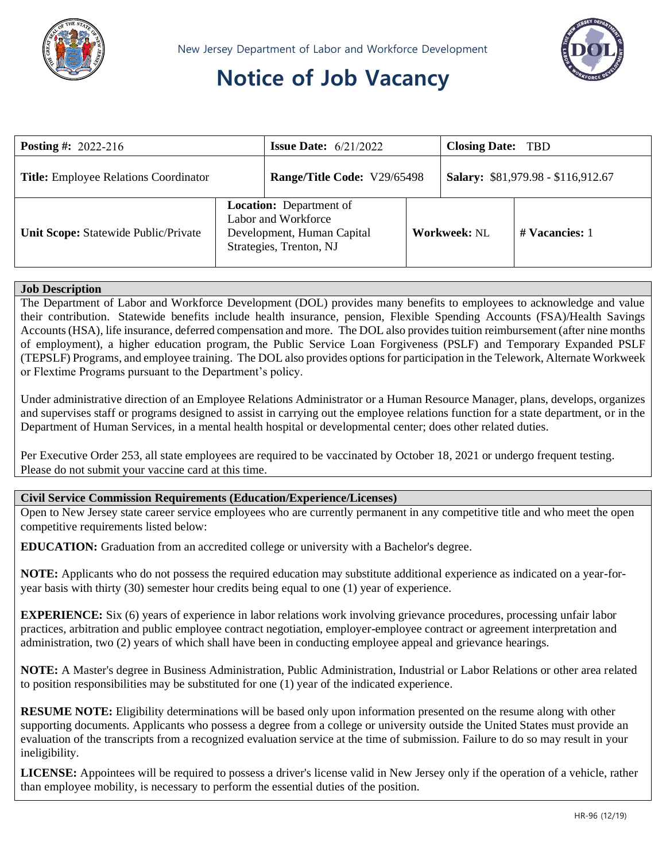

# **Notice of Job Vacancy**



| <b>Posting #:</b> 2022-216                   |                                                                                                                | <b>Issue Date:</b> $6/21/2022$ |  | <b>Closing Date: TBD</b>           |                |
|----------------------------------------------|----------------------------------------------------------------------------------------------------------------|--------------------------------|--|------------------------------------|----------------|
| <b>Title:</b> Employee Relations Coordinator |                                                                                                                | Range/Title Code: V29/65498    |  | Salary: \$81,979.98 - \$116,912.67 |                |
| Unit Scope: Statewide Public/Private         | <b>Location:</b> Department of<br>Labor and Workforce<br>Development, Human Capital<br>Strategies, Trenton, NJ |                                |  | <b>Workweek: NL</b>                | # Vacancies: 1 |

#### **Job Description**

The Department of Labor and Workforce Development (DOL) provides many benefits to employees to acknowledge and value their contribution. Statewide benefits include health insurance, pension, Flexible Spending Accounts (FSA)/Health Savings Accounts (HSA), life insurance, deferred compensation and more. The DOL also provides tuition reimbursement (after nine months of employment), a higher education program, the Public Service Loan Forgiveness (PSLF) and Temporary Expanded PSLF (TEPSLF) Programs, and employee training. The DOL also provides options for participation in the Telework, Alternate Workweek or Flextime Programs pursuant to the Department's policy.

Under administrative direction of an Employee Relations Administrator or a Human Resource Manager, plans, develops, organizes and supervises staff or programs designed to assist in carrying out the employee relations function for a state department, or in the Department of Human Services, in a mental health hospital or developmental center; does other related duties.

Per Executive Order 253, all state employees are required to be vaccinated by October 18, 2021 or undergo frequent testing. Please do not submit your vaccine card at this time.

#### **Civil Service Commission Requirements (Education/Experience/Licenses)**

Open to New Jersey state career service employees who are currently permanent in any competitive title and who meet the open competitive requirements listed below:

**EDUCATION:** Graduation from an accredited college or university with a Bachelor's degree.

**NOTE:** Applicants who do not possess the required education may substitute additional experience as indicated on a year-foryear basis with thirty (30) semester hour credits being equal to one (1) year of experience.

**EXPERIENCE:** Six (6) years of experience in labor relations work involving grievance procedures, processing unfair labor practices, arbitration and public employee contract negotiation, employer-employee contract or agreement interpretation and administration, two (2) years of which shall have been in conducting employee appeal and grievance hearings.

**NOTE:** A Master's degree in Business Administration, Public Administration, Industrial or Labor Relations or other area related to position responsibilities may be substituted for one (1) year of the indicated experience.

**RESUME NOTE:** Eligibility determinations will be based only upon information presented on the resume along with other supporting documents. Applicants who possess a degree from a college or university outside the United States must provide an evaluation of the transcripts from a recognized evaluation service at the time of submission. Failure to do so may result in your ineligibility.

**LICENSE:** Appointees will be required to possess a driver's license valid in New Jersey only if the operation of a vehicle, rather than employee mobility, is necessary to perform the essential duties of the position.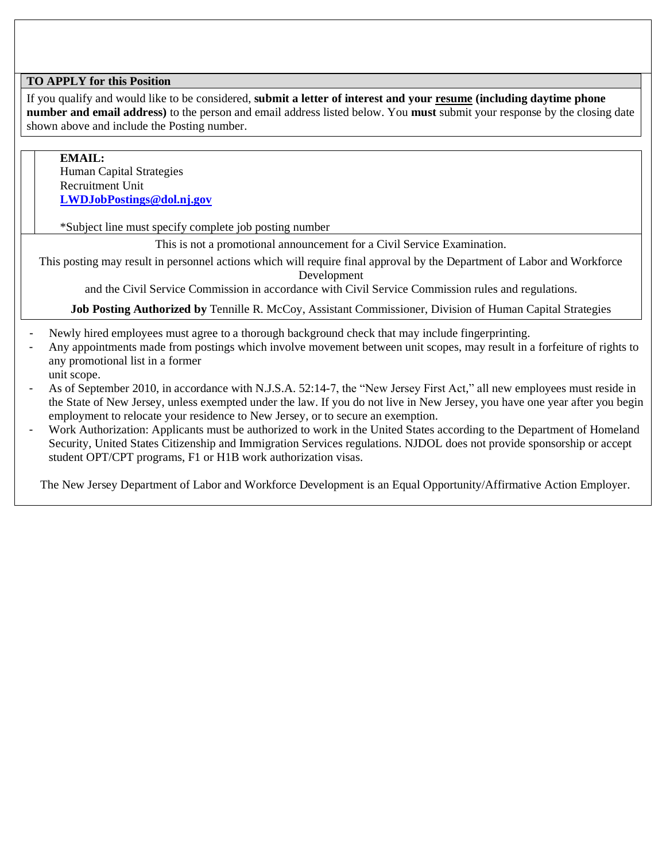### **TO APPLY for this Position**

If you qualify and would like to be considered, **submit a letter of interest and your resume (including daytime phone number and email address)** to the person and email address listed below. You **must** submit your response by the closing date shown above and include the Posting number.

**EMAIL:** Human Capital Strategies Recruitment Unit **[LWDJobPostings@dol.nj.gov](mailto:LWDJobPostings@dol.nj.gov)**

\*Subject line must specify complete job posting number

This is not a promotional announcement for a Civil Service Examination.

This posting may result in personnel actions which will require final approval by the Department of Labor and Workforce Development

and the Civil Service Commission in accordance with Civil Service Commission rules and regulations.

**Job Posting Authorized by** Tennille R. McCoy, Assistant Commissioner, Division of Human Capital Strategies

- Newly hired employees must agree to a thorough background check that may include fingerprinting.
- Any appointments made from postings which involve movement between unit scopes, may result in a forfeiture of rights to any promotional list in a former
- unit scope.
- As of September 2010, in accordance with N.J.S.A. 52:14-7, the "New Jersey First Act," all new employees must reside in the State of New Jersey, unless exempted under the law. If you do not live in New Jersey, you have one year after you begin employment to relocate your residence to New Jersey, or to secure an exemption.
- Work Authorization: Applicants must be authorized to work in the United States according to the Department of Homeland Security, United States Citizenship and Immigration Services regulations. NJDOL does not provide sponsorship or accept student OPT/CPT programs, F1 or H1B work authorization visas.

The New Jersey Department of Labor and Workforce Development is an Equal Opportunity/Affirmative Action Employer.